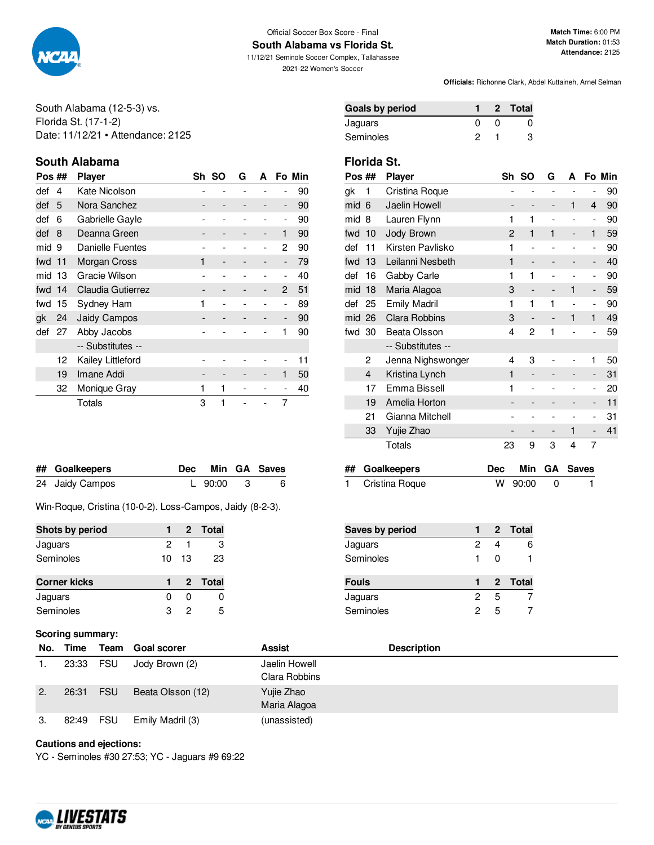

#### Official Soccer Box Score - Final **South Alabama vs Florida St.**

11/12/21 Seminole Soccer Complex, Tallahassee 2021-22 Women's Soccer

**Officials:** Richonne Clark, Abdel Kuttaineh, Arnel Selman

South Alabama (12-5-3) vs. Florida St. (17-1-2) Date: 11/12/21 • Attendance: 2125

# **South Alabama Florida St.**

| Pos ## |    | <b>Player</b>           |   | Sh SO | G | A                        |                          | Fo Min |
|--------|----|-------------------------|---|-------|---|--------------------------|--------------------------|--------|
| def    | 4  | Kate Nicolson           |   |       |   |                          |                          | 90     |
| def    | 5  | Nora Sanchez            |   |       |   |                          | $\overline{\phantom{a}}$ | 90     |
| def    | 6  | Gabrielle Gayle         |   |       |   |                          | -                        | 90     |
| def    | 8  | Deanna Green            |   |       |   | $\overline{\phantom{a}}$ | 1                        | 90     |
| mid 9  |    | <b>Danielle Fuentes</b> |   |       |   |                          | 2                        | 90     |
| fwd 11 |    | Morgan Cross            | 1 |       |   |                          | $\overline{\phantom{m}}$ | 79     |
| mid    | 13 | Gracie Wilson           |   |       |   |                          | -                        | 40     |
| fwd 14 |    | Claudia Gutierrez       |   |       |   |                          | 2                        | 51     |
| fwd    | 15 | Sydney Ham              | 1 |       |   |                          | -                        | 89     |
| gk     | 24 | Jaidy Campos            |   |       |   |                          | $\overline{\phantom{a}}$ | 90     |
| def    | 27 | Abby Jacobs             |   |       |   |                          | 1                        | 90     |
|        |    | -- Substitutes --       |   |       |   |                          |                          |        |
|        | 12 | Kailey Littleford       |   |       |   |                          |                          | 11     |
|        | 19 | Imane Addi              |   |       |   |                          | 1                        | 50     |
|        | 32 | Monique Gray            | 1 | 1     |   |                          |                          | 40     |
|        |    | Totals                  | 3 | 1     |   |                          | 7                        |        |

| ## Goalkeepers  |           | Dec Min GA Saves |
|-----------------|-----------|------------------|
| 24 Jaidy Campos | L 90:00 3 | 6                |

Win-Roque, Cristina (10-0-2). Loss-Campos, Jaidy (8-2-3).

| Shots by period     |    |      | 2 Total |
|---------------------|----|------|---------|
| Jaguars             | 2  |      | з       |
| Seminoles           | 10 | - 13 | 23      |
|                     |    |      |         |
| <b>Corner kicks</b> |    |      | 2 Total |
| Jaguars             | O  | O    |         |

## **Scoring summary:**

| No. | Time  | Team       | <b>Goal scorer</b> | <b>Assist</b>                  | <b>Description</b> |
|-----|-------|------------|--------------------|--------------------------------|--------------------|
|     | 23:33 | FSU        | Jody Brown (2)     | Jaelin Howell<br>Clara Robbins |                    |
| 2.  | 26:31 | <b>FSU</b> | Beata Olsson (12)  | Yujie Zhao<br>Maria Alagoa     |                    |
| З.  | 82:49 | <b>FSU</b> | Emily Madril (3)   | (unassisted)                   |                    |

#### **Cautions and ejections:**

YC - Seminoles #30 27:53; YC - Jaguars #9 69:22



| Pos ## |     | <b>Player</b>        | Sh             | <b>SO</b>                | G              | А |                          | Fo Min |
|--------|-----|----------------------|----------------|--------------------------|----------------|---|--------------------------|--------|
| gk     | 1   | Cristina Roque       |                |                          |                |   | -                        | 90     |
| mid    | 6   | Jaelin Howell        | -              | -                        | -              | 1 | $\overline{4}$           | 90     |
| mid    | 8   | Lauren Flynn         | 1              | 1                        | $\overline{a}$ |   | $\overline{a}$           | 90     |
| fwd    | 10  | Jody Brown           | $\overline{c}$ | 1                        | 1              | - | $\mathbf{1}$             | 59     |
| def    | 11  | Kirsten Pavlisko     | 1              | $\overline{a}$           |                |   | $\overline{\phantom{m}}$ | 90     |
| fwd    | 13  | Leilanni Nesbeth     | 1              | $\overline{\phantom{0}}$ |                |   | -                        | 40     |
| def    | 16  | Gabby Carle          | 1              | 1                        |                |   | $\overline{a}$           | 90     |
| mid    | 18  | Maria Alagoa         | 3              | $\overline{\phantom{0}}$ |                | 1 | $\overline{\phantom{m}}$ | 59     |
| def    | 25  | <b>Emily Madril</b>  | 1              | 1                        | 1              |   | $\overline{\phantom{m}}$ | 90     |
| mid    | 26  | <b>Clara Robbins</b> | 3              | -                        |                | 1 | 1                        | 49     |
| fwd    | -30 | Beata Olsson         | 4              | 2                        | 1              |   |                          | 59     |
|        |     | -- Substitutes --    |                |                          |                |   |                          |        |
|        | 2   | Jenna Nighswonger    | 4              | 3                        |                |   | 1                        | 50     |
|        | 4   | Kristina Lynch       | 1              |                          |                |   | -                        | 31     |
|        | 17  | Emma Bissell         | 1              | $\overline{a}$           |                |   | $\overline{a}$           | 20     |
|        | 19  | Amelia Horton        |                |                          |                |   | -                        | 11     |
|        | 21  | Gianna Mitchell      |                |                          |                |   | -                        | 31     |
|        | 33  | Yujie Zhao           |                |                          |                | 1 | -                        | 41     |
|        |     | Totals               | 23             | 9                        | 3              | 4 | 7                        |        |
|        |     |                      |                |                          |                |   |                          |        |

| ## Goalkeepers   |           | Dec Min GA Saves |
|------------------|-----------|------------------|
| 1 Cristina Roque | W 90:00 0 |                  |

| <b>Saves by period</b> |   |   | 2 Total |
|------------------------|---|---|---------|
| Jaguars                | 2 |   | 6       |
| Seminoles              | 1 | O |         |
|                        |   |   |         |
| Fouls                  |   |   | 2 Total |
| Jaguars                | 2 | 5 |         |

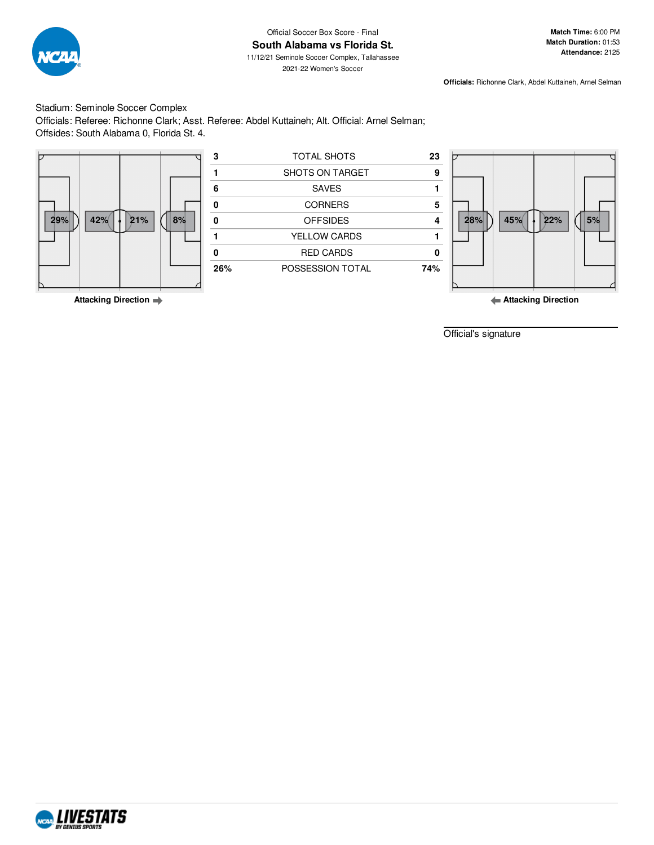

2021-22 Women's Soccer

**Match Time:** 6:00 PM **Match Duration:** 01:53 **Attendance:** 2125

**Officials:** Richonne Clark, Abdel Kuttaineh, Arnel Selman

Stadium: Seminole Soccer Complex Officials: Referee: Richonne Clark; Asst. Referee: Abdel Kuttaineh; Alt. Official: Arnel Selman; Offsides: South Alabama 0, Florida St. 4.



|     |     |     |    | з   | TOTAL SHOTS            | 23  |     |     |     |    |
|-----|-----|-----|----|-----|------------------------|-----|-----|-----|-----|----|
|     |     |     |    |     | <b>SHOTS ON TARGET</b> | 9   |     |     |     |    |
|     |     |     |    |     | <b>SAVES</b>           |     |     |     |     |    |
|     |     |     |    |     | <b>CORNERS</b>         | 5   |     |     |     |    |
| 29% | 42% | 21% | 8% |     | <b>OFFSIDES</b>        |     | 28% | 45% | 22% | 5% |
|     |     |     |    |     | YELLOW CARDS           |     |     |     |     |    |
|     |     |     |    |     | <b>RED CARDS</b>       |     |     |     |     |    |
|     |     |     |    | 26% | POSSESSION TOTAL       | 74% |     |     |     |    |
|     |     |     |    |     |                        |     |     |     |     |    |



**Attacking Direction**

Official's signature

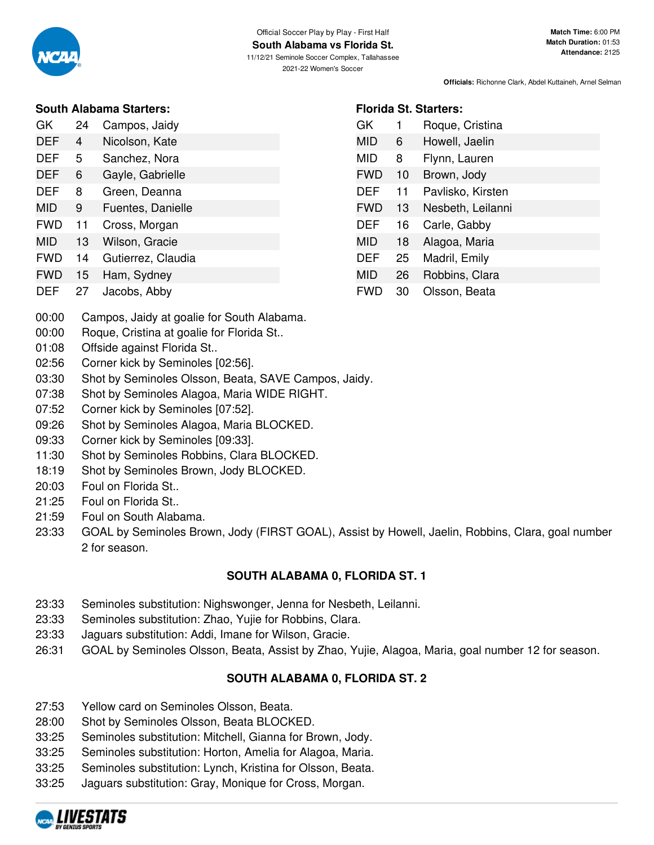

|            |    | SOUIN ARDANIA SIATIETS. |
|------------|----|-------------------------|
| GK         | 24 | Campos, Jaidy           |
| <b>DEF</b> | 4  | Nicolson, Kate          |
| DEF        | 5  | Sanchez, Nora           |
| <b>DEF</b> | 6  | Gayle, Gabrielle        |
| DEF        | 8  | Green, Deanna           |
| MID        | 9  | Fuentes, Danielle       |
| <b>FWD</b> | 11 | Cross, Morgan           |
| MID        | 13 | Wilson, Gracie          |
| FWD        | 14 | Gutierrez, Claudia      |

FWD 15 Ham, Sydney DEF 27 Jacobs, Abby

| GK         | 1  | Roque, Cristina   |
|------------|----|-------------------|
| MID        | 6  | Howell, Jaelin    |
| MID        | 8  | Flynn, Lauren     |
| <b>FWD</b> | 10 | Brown, Jody       |
| DEF        | 11 | Pavlisko, Kirsten |
| <b>FWD</b> | 13 | Nesbeth, Leilanni |
| DEF        | 16 | Carle, Gabby      |
| MID        | 18 | Alagoa, Maria     |
| DEF        | 25 | Madril, Emily     |
| MID        | 26 | Robbins, Clara    |
| FWD        | 30 | Olsson. Beata     |

**Florida St. Starters:**

- 00:00 Campos, Jaidy at goalie for South Alabama.
- 00:00 Roque, Cristina at goalie for Florida St..
- 01:08 Offside against Florida St..
- 02:56 Corner kick by Seminoles [02:56].
- 03:30 Shot by Seminoles Olsson, Beata, SAVE Campos, Jaidy.
- 07:38 Shot by Seminoles Alagoa, Maria WIDE RIGHT.
- 07:52 Corner kick by Seminoles [07:52].
- 09:26 Shot by Seminoles Alagoa, Maria BLOCKED.
- 09:33 Corner kick by Seminoles [09:33].
- 11:30 Shot by Seminoles Robbins, Clara BLOCKED.
- 18:19 Shot by Seminoles Brown, Jody BLOCKED.
- 20:03 Foul on Florida St..
- 21:25 Foul on Florida St..
- 21:59 Foul on South Alabama.
- 23:33 GOAL by Seminoles Brown, Jody (FIRST GOAL), Assist by Howell, Jaelin, Robbins, Clara, goal number 2 for season.

# **SOUTH ALABAMA 0, FLORIDA ST. 1**

- 23:33 Seminoles substitution: Nighswonger, Jenna for Nesbeth, Leilanni.
- 23:33 Seminoles substitution: Zhao, Yujie for Robbins, Clara.
- 23:33 Jaguars substitution: Addi, Imane for Wilson, Gracie.
- 26:31 GOAL by Seminoles Olsson, Beata, Assist by Zhao, Yujie, Alagoa, Maria, goal number 12 for season.

# **SOUTH ALABAMA 0, FLORIDA ST. 2**

- 27:53 Yellow card on Seminoles Olsson, Beata.
- 28:00 Shot by Seminoles Olsson, Beata BLOCKED.
- 33:25 Seminoles substitution: Mitchell, Gianna for Brown, Jody.
- 33:25 Seminoles substitution: Horton, Amelia for Alagoa, Maria.
- 33:25 Seminoles substitution: Lynch, Kristina for Olsson, Beata.
- 33:25 Jaguars substitution: Gray, Monique for Cross, Morgan.

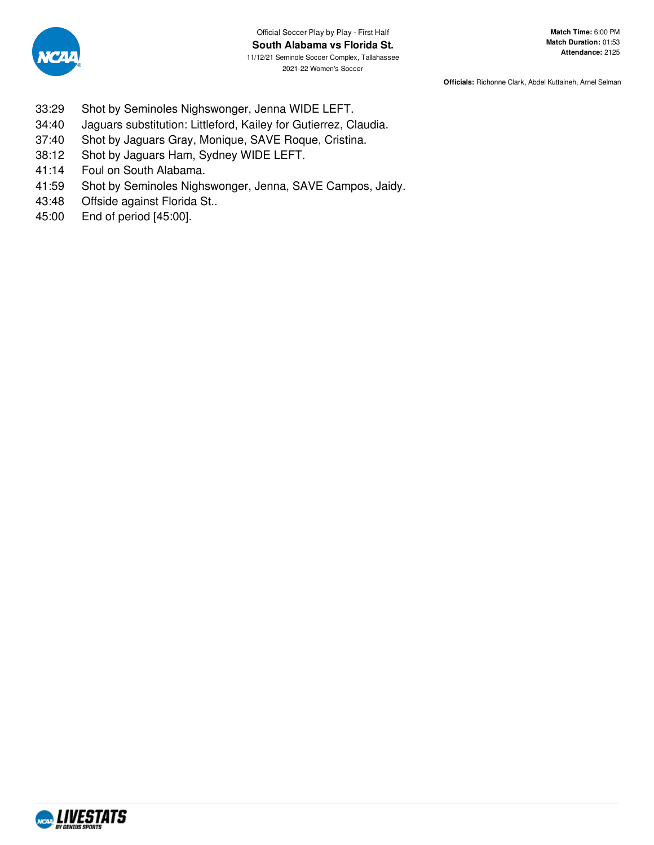

- 33:29 Shot by Seminoles Nighswonger, Jenna WIDE LEFT.
- 34:40 Jaguars substitution: Littleford, Kailey for Gutierrez, Claudia.
- 37:40 Shot by Jaguars Gray, Monique, SAVE Roque, Cristina.
- 38:12 Shot by Jaguars Ham, Sydney WIDE LEFT.
- 41:14 Foul on South Alabama.
- 41:59 Shot by Seminoles Nighswonger, Jenna, SAVE Campos, Jaidy.
- 43:48 Offside against Florida St..
- 45:00 End of period [45:00].

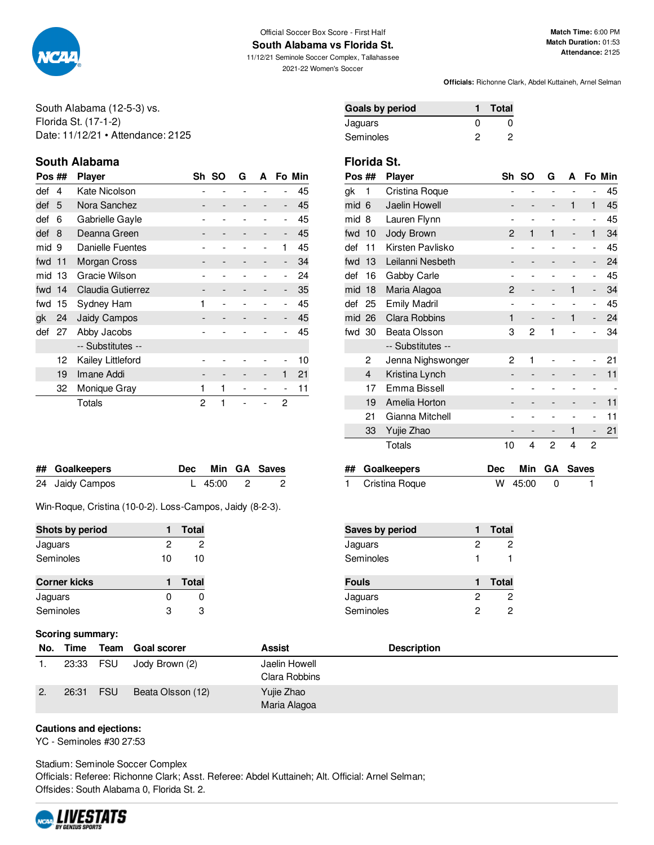

#### Official Soccer Box Score - First Half **South Alabama vs Florida St.**

11/12/21 Seminole Soccer Complex, Tallahassee 2021-22 Women's Soccer

**Match Time:** 6:00 PM **Match Duration:** 01:53 **Attendance:** 2125

**Officials:** Richonne Clark, Abdel Kuttaineh, Arnel Selman

South Alabama (12-5-3) vs. Florida St. (17-1-2) Date: 11/12/21 • Attendance: 2125

# **South Alabama Florida St.**

| Pos ## |    | <b>Player</b>       |   | Sh SO | G | A |                          | Fo Min |
|--------|----|---------------------|---|-------|---|---|--------------------------|--------|
| def    | 4  | Kate Nicolson       |   |       |   |   |                          | 45     |
| def    | 5  | Nora Sanchez        |   |       |   |   | -                        | 45     |
| def    | 6  | Gabrielle Gayle     |   |       |   |   | -                        | 45     |
| def    | 8  | Deanna Green        |   |       |   |   | -                        | 45     |
| mid 9  |    | Danielle Fuentes    |   |       |   |   | 1                        | 45     |
| fwd 11 |    | Morgan Cross        |   |       |   |   | $\overline{\phantom{a}}$ | 34     |
| mid    | 13 | Gracie Wilson       |   |       |   |   | $\overline{a}$           | 24     |
| fwd 14 |    | Claudia Gutierrez   |   |       |   |   | -                        | 35     |
| fwd    | 15 | Sydney Ham          | 1 |       |   |   |                          | 45     |
| gk     | 24 | <b>Jaidy Campos</b> |   |       |   |   | $\overline{\phantom{0}}$ | 45     |
| def    | 27 | Abby Jacobs         |   |       |   |   |                          | 45     |
|        |    | -- Substitutes --   |   |       |   |   |                          |        |
|        | 12 | Kailey Littleford   |   |       |   |   |                          | 10     |
|        | 19 | Imane Addi          |   |       |   |   | 1                        | 21     |
|        | 32 | Monique Gray        | 1 | 1     |   |   |                          | 11     |
|        |    | Totals              | 2 | 1     |   |   | 2                        |        |

| ## Goalkeepers  |         | Dec Min GA Saves |
|-----------------|---------|------------------|
| 24 Jaidy Campos | L 45:00 |                  |

Win-Roque, Cristina (10-0-2). Loss-Campos, Jaidy (8-2-3).

| Shots by period     |    | <b>Total</b> | <b>Saves by period</b> | <b>Total</b> |
|---------------------|----|--------------|------------------------|--------------|
| Jaguars             |    |              | Jaguars                |              |
| Seminoles           | 10 | 10           | Seminoles              |              |
| <b>Corner kicks</b> |    | <b>Total</b> | <b>Fouls</b>           | Total        |
| Jaguars             |    | 0            | Jaguars                |              |
| Seminoles           | 3  | 3            | Seminoles              |              |
|                     |    |              |                        |              |

### **Scoring summary:**

|    | No. Time  |            | Team Goal scorer  | <b>Assist</b>                  | <b>Description</b> |
|----|-----------|------------|-------------------|--------------------------------|--------------------|
|    | 23:33 FSU |            | Jody Brown (2)    | Jaelin Howell<br>Clara Robbins |                    |
| 2. | 26:31     | <b>FSU</b> | Beata Olsson (12) | Yujie Zhao<br>Maria Alagoa     |                    |

### **Cautions and ejections:**

YC - Seminoles #30 27:53

Stadium: Seminole Soccer Complex Officials: Referee: Richonne Clark; Asst. Referee: Abdel Kuttaineh; Alt. Official: Arnel Selman; Offsides: South Alabama 0, Florida St. 2.



| <b>Goals by period</b> | <b>Total</b> |
|------------------------|--------------|
| Jaguars                | 0            |
| Seminoles              | 0            |

| Pos ## |                | Player               | Sh             | <b>SO</b>    | G | А |                              | Fo Min |
|--------|----------------|----------------------|----------------|--------------|---|---|------------------------------|--------|
| gk     | 1              | Cristina Roque       |                |              |   |   |                              | 45     |
| mid    | 6              | Jaelin Howell        |                |              | - | 1 | 1                            | 45     |
| mid    | 8              | Lauren Flynn         | $\overline{a}$ |              | ۰ |   | $\overline{\phantom{0}}$     | 45     |
| fwd    | 10             | Jody Brown           | $\overline{c}$ | $\mathbf{1}$ | 1 | - | 1                            | 34     |
| def    | 11             | Kirsten Pavlisko     | $\overline{a}$ |              |   |   | $\overline{\phantom{0}}$     | 45     |
| fwd    | 13             | Leilanni Nesbeth     |                |              |   |   | $\overline{\phantom{0}}$     | 24     |
| def    | 16             | Gabby Carle          | $\overline{a}$ |              |   |   | $\overline{\phantom{0}}$     | 45     |
| mid    | 18             | Maria Alagoa         | $\overline{c}$ |              |   | 1 | $\overline{\phantom{m}}$     | 34     |
| def    | 25             | <b>Emily Madril</b>  | $\overline{a}$ |              |   |   | -                            | 45     |
| mid    | 26             | <b>Clara Robbins</b> | 1              |              |   | 1 | -                            | 24     |
| fwd    | -30            | Beata Olsson         | 3              | 2            | 1 |   |                              | 34     |
|        |                | -- Substitutes --    |                |              |   |   |                              |        |
|        | 2              | Jenna Nighswonger    | 2              | 1            |   |   |                              | 21     |
|        | $\overline{4}$ | Kristina Lynch       |                |              |   |   | -                            | 11     |
|        | 17             | Emma Bissell         | $\overline{a}$ |              |   |   | -                            |        |
|        | 19             | Amelia Horton        |                |              |   | - | $\overline{\phantom{m}}$     | 11     |
|        | 21             | Gianna Mitchell      |                |              |   |   | -                            | 11     |
|        | 33             | Yujie Zhao           |                |              |   | 1 | $\qquad \qquad \blacksquare$ | 21     |
|        |                | Totals               | 10             | 4            | 2 | 4 | 2                            |        |
|        |                |                      |                |              |   |   |                              |        |

| ## Goalkeepers   |             | Dec Min GA Saves |
|------------------|-------------|------------------|
| 1 Cristina Roque | $W$ 45:00 0 |                  |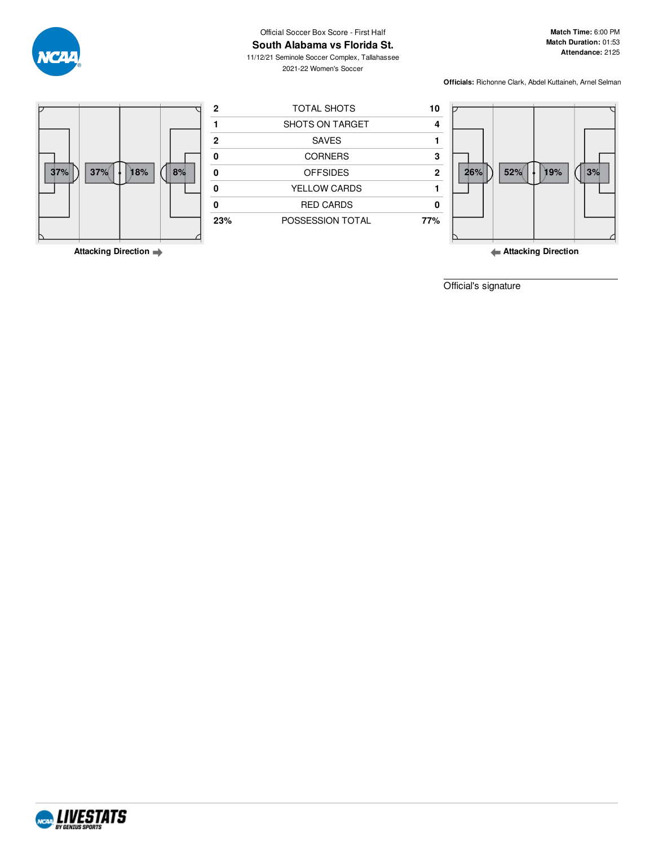

#### Official Soccer Box Score - First Half **South Alabama vs Florida St.**

11/12/21 Seminole Soccer Complex, Tallahassee 2021-22 Women's Soccer

**Match Time:** 6:00 PM **Match Duration:** 01:53 **Attendance:** 2125

**Officials:** Richonne Clark, Abdel Kuttaineh, Arnel Selman



**Attacking Direction**

**Attacking Direction**

Official's signature

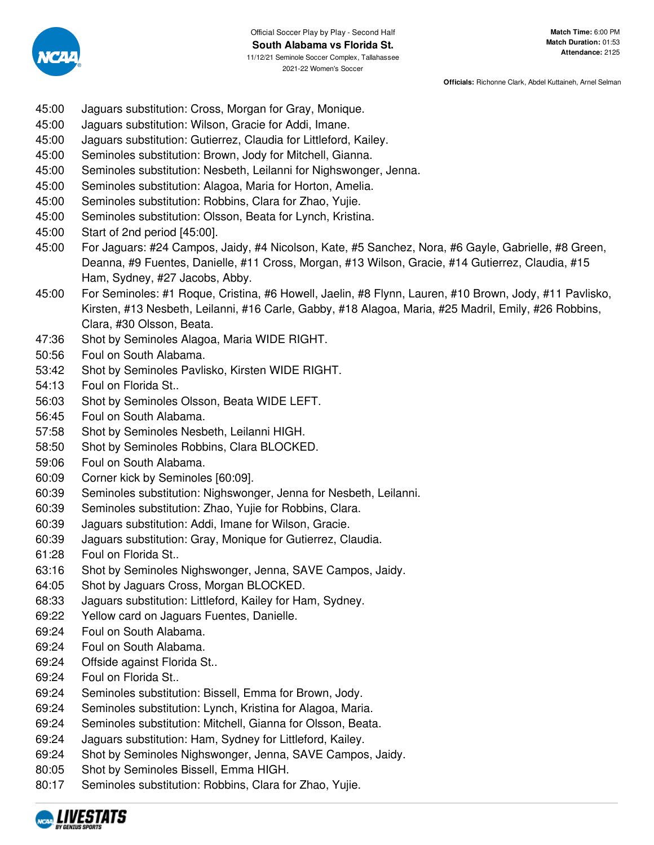

- 45:00 Jaguars substitution: Cross, Morgan for Gray, Monique.
- 45:00 Jaguars substitution: Wilson, Gracie for Addi, Imane.
- 45:00 Jaguars substitution: Gutierrez, Claudia for Littleford, Kailey.
- 45:00 Seminoles substitution: Brown, Jody for Mitchell, Gianna.
- 45:00 Seminoles substitution: Nesbeth, Leilanni for Nighswonger, Jenna.
- 45:00 Seminoles substitution: Alagoa, Maria for Horton, Amelia.
- 45:00 Seminoles substitution: Robbins, Clara for Zhao, Yujie.
- 45:00 Seminoles substitution: Olsson, Beata for Lynch, Kristina.
- 45:00 Start of 2nd period [45:00].
- 45:00 For Jaguars: #24 Campos, Jaidy, #4 Nicolson, Kate, #5 Sanchez, Nora, #6 Gayle, Gabrielle, #8 Green, Deanna, #9 Fuentes, Danielle, #11 Cross, Morgan, #13 Wilson, Gracie, #14 Gutierrez, Claudia, #15 Ham, Sydney, #27 Jacobs, Abby.
- 45:00 For Seminoles: #1 Roque, Cristina, #6 Howell, Jaelin, #8 Flynn, Lauren, #10 Brown, Jody, #11 Pavlisko, Kirsten, #13 Nesbeth, Leilanni, #16 Carle, Gabby, #18 Alagoa, Maria, #25 Madril, Emily, #26 Robbins, Clara, #30 Olsson, Beata.
- 47:36 Shot by Seminoles Alagoa, Maria WIDE RIGHT.
- 50:56 Foul on South Alabama.
- 53:42 Shot by Seminoles Pavlisko, Kirsten WIDE RIGHT.
- 54:13 Foul on Florida St..
- 56:03 Shot by Seminoles Olsson, Beata WIDE LEFT.
- 56:45 Foul on South Alabama.
- 57:58 Shot by Seminoles Nesbeth, Leilanni HIGH.
- 58:50 Shot by Seminoles Robbins, Clara BLOCKED.
- 59:06 Foul on South Alabama.
- 60:09 Corner kick by Seminoles [60:09].
- 60:39 Seminoles substitution: Nighswonger, Jenna for Nesbeth, Leilanni.
- 60:39 Seminoles substitution: Zhao, Yujie for Robbins, Clara.
- 60:39 Jaguars substitution: Addi, Imane for Wilson, Gracie.
- 60:39 Jaguars substitution: Gray, Monique for Gutierrez, Claudia.
- 61:28 Foul on Florida St..
- 63:16 Shot by Seminoles Nighswonger, Jenna, SAVE Campos, Jaidy.
- 64:05 Shot by Jaguars Cross, Morgan BLOCKED.
- 68:33 Jaguars substitution: Littleford, Kailey for Ham, Sydney.
- 69:22 Yellow card on Jaguars Fuentes, Danielle.
- 69:24 Foul on South Alabama.
- 69:24 Foul on South Alabama.
- 69:24 Offside against Florida St..
- 69:24 Foul on Florida St..
- 69:24 Seminoles substitution: Bissell, Emma for Brown, Jody.
- 69:24 Seminoles substitution: Lynch, Kristina for Alagoa, Maria.
- 69:24 Seminoles substitution: Mitchell, Gianna for Olsson, Beata.
- 69:24 Jaguars substitution: Ham, Sydney for Littleford, Kailey.
- 69:24 Shot by Seminoles Nighswonger, Jenna, SAVE Campos, Jaidy.
- 80:05 Shot by Seminoles Bissell, Emma HIGH.
- 80:17 Seminoles substitution: Robbins, Clara for Zhao, Yujie.

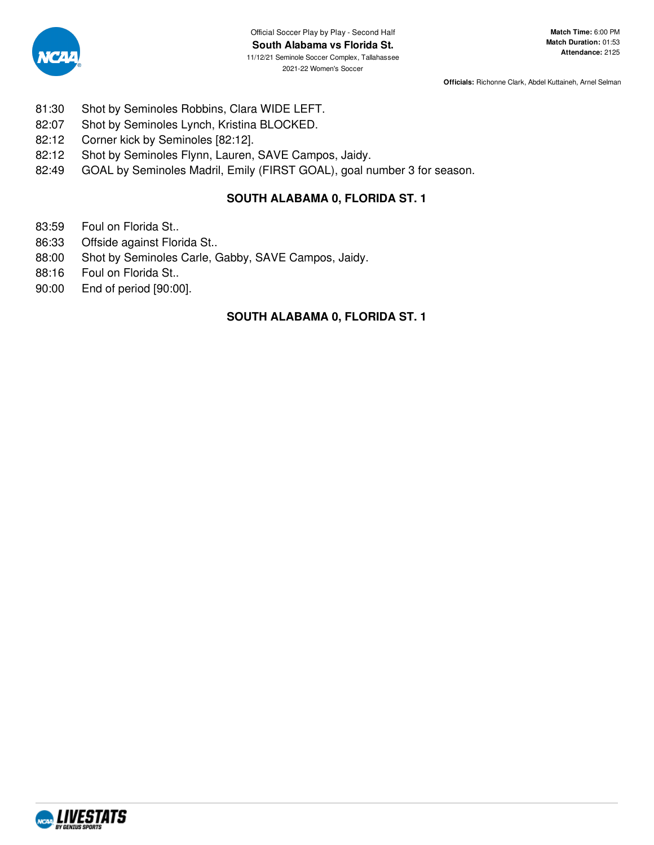

- 81:30 Shot by Seminoles Robbins, Clara WIDE LEFT.
- 82:07 Shot by Seminoles Lynch, Kristina BLOCKED.
- 82:12 Corner kick by Seminoles [82:12].
- 82:12 Shot by Seminoles Flynn, Lauren, SAVE Campos, Jaidy.
- 82:49 GOAL by Seminoles Madril, Emily (FIRST GOAL), goal number 3 for season.

## **SOUTH ALABAMA 0, FLORIDA ST. 1**

- 83:59 Foul on Florida St..
- 86:33 Offside against Florida St..
- 88:00 Shot by Seminoles Carle, Gabby, SAVE Campos, Jaidy.
- 88:16 Foul on Florida St..
- 90:00 End of period [90:00].

# **SOUTH ALABAMA 0, FLORIDA ST. 1**

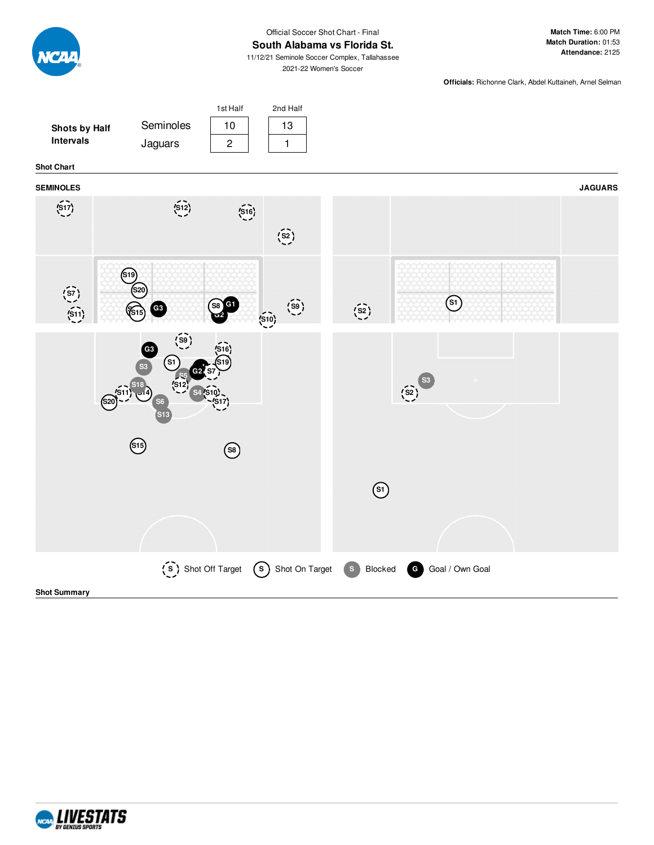

#### Official Soccer Shot Chart - Final **South Alabama vs Florida St.**

11/12/21 Seminole Soccer Complex, Tallahassee 2021-22 Women's Soccer

**Match Time:** 6:00 PM **Match Duration:** 01:53 **Attendance:** 2125